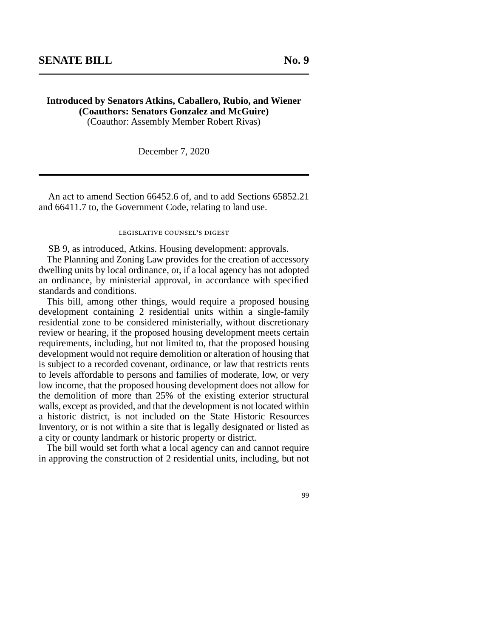## **Introduced by Senators Atkins, Caballero, Rubio, and Wiener (Coauthors: Senators Gonzalez and McGuire)**

(Coauthor: Assembly Member Robert Rivas)

December 7, 2020

An act to amend Section 66452.6 of, and to add Sections 65852.21 and 66411.7 to, the Government Code, relating to land use.

## legislative counsel's digest

SB 9, as introduced, Atkins. Housing development: approvals.

The Planning and Zoning Law provides for the creation of accessory dwelling units by local ordinance, or, if a local agency has not adopted an ordinance, by ministerial approval, in accordance with specified standards and conditions.

This bill, among other things, would require a proposed housing development containing 2 residential units within a single-family residential zone to be considered ministerially, without discretionary review or hearing, if the proposed housing development meets certain requirements, including, but not limited to, that the proposed housing development would not require demolition or alteration of housing that is subject to a recorded covenant, ordinance, or law that restricts rents to levels affordable to persons and families of moderate, low, or very low income, that the proposed housing development does not allow for the demolition of more than 25% of the existing exterior structural walls, except as provided, and that the development is not located within a historic district, is not included on the State Historic Resources Inventory, or is not within a site that is legally designated or listed as a city or county landmark or historic property or district.

The bill would set forth what a local agency can and cannot require in approving the construction of 2 residential units, including, but not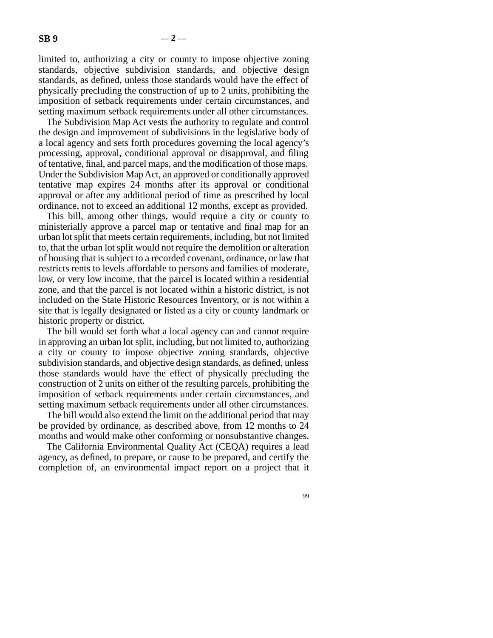limited to, authorizing a city or county to impose objective zoning standards, objective subdivision standards, and objective design standards, as defined, unless those standards would have the effect of physically precluding the construction of up to 2 units, prohibiting the imposition of setback requirements under certain circumstances, and setting maximum setback requirements under all other circumstances.

The Subdivision Map Act vests the authority to regulate and control the design and improvement of subdivisions in the legislative body of a local agency and sets forth procedures governing the local agency's processing, approval, conditional approval or disapproval, and filing of tentative, final, and parcel maps, and the modification of those maps. Under the Subdivision Map Act, an approved or conditionally approved tentative map expires 24 months after its approval or conditional approval or after any additional period of time as prescribed by local ordinance, not to exceed an additional 12 months, except as provided.

This bill, among other things, would require a city or county to ministerially approve a parcel map or tentative and final map for an urban lot split that meets certain requirements, including, but not limited to, that the urban lot split would not require the demolition or alteration of housing that is subject to a recorded covenant, ordinance, or law that restricts rents to levels affordable to persons and families of moderate, low, or very low income, that the parcel is located within a residential zone, and that the parcel is not located within a historic district, is not included on the State Historic Resources Inventory, or is not within a site that is legally designated or listed as a city or county landmark or historic property or district.

The bill would set forth what a local agency can and cannot require in approving an urban lot split, including, but not limited to, authorizing a city or county to impose objective zoning standards, objective subdivision standards, and objective design standards, as defined, unless those standards would have the effect of physically precluding the construction of 2 units on either of the resulting parcels, prohibiting the imposition of setback requirements under certain circumstances, and setting maximum setback requirements under all other circumstances.

The bill would also extend the limit on the additional period that may be provided by ordinance, as described above, from 12 months to 24 months and would make other conforming or nonsubstantive changes.

The California Environmental Quality Act (CEQA) requires a lead agency, as defined, to prepare, or cause to be prepared, and certify the completion of, an environmental impact report on a project that it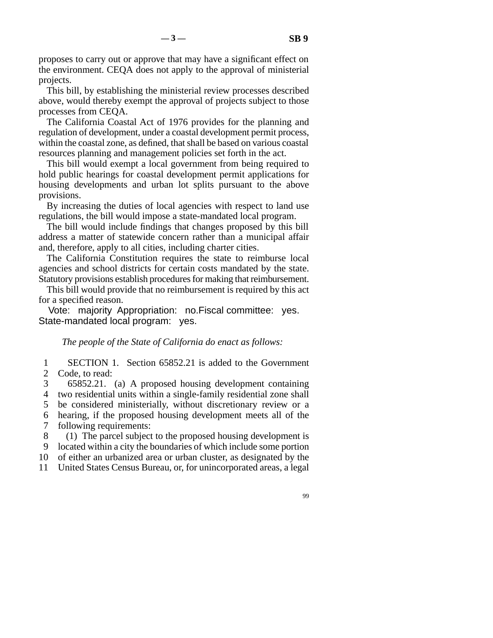proposes to carry out or approve that may have a significant effect on the environment. CEQA does not apply to the approval of ministerial projects.

This bill, by establishing the ministerial review processes described above, would thereby exempt the approval of projects subject to those processes from CEQA.

The California Coastal Act of 1976 provides for the planning and regulation of development, under a coastal development permit process, within the coastal zone, as defined, that shall be based on various coastal resources planning and management policies set forth in the act.

This bill would exempt a local government from being required to hold public hearings for coastal development permit applications for housing developments and urban lot splits pursuant to the above provisions.

By increasing the duties of local agencies with respect to land use regulations, the bill would impose a state-mandated local program.

The bill would include findings that changes proposed by this bill address a matter of statewide concern rather than a municipal affair and, therefore, apply to all cities, including charter cities.

The California Constitution requires the state to reimburse local agencies and school districts for certain costs mandated by the state. Statutory provisions establish procedures for making that reimbursement.

This bill would provide that no reimbursement is required by this act for a specified reason.

Vote: majority. Appropriation: no. Fiscal committee: yes. State-mandated local program: yes.

*The people of the State of California do enact as follows:* 

1 SECTION 1. Section 65852.21 is added to the Government 2 Code, to read:

 line 3 65852.21. (a) A proposed housing development containing 4 two residential units within a single-family residential zone shall 5 be considered ministerially, without discretionary review or a

6 hearing, if the proposed housing development meets all of the 7 following requirements: following requirements:

8 (1) The parcel subject to the proposed housing development is

9 located within a city the boundaries of which include some portion

10 of either an urbanized area or urban cluster, as designated by the

11 United States Census Bureau, or, for unincorporated areas, a legal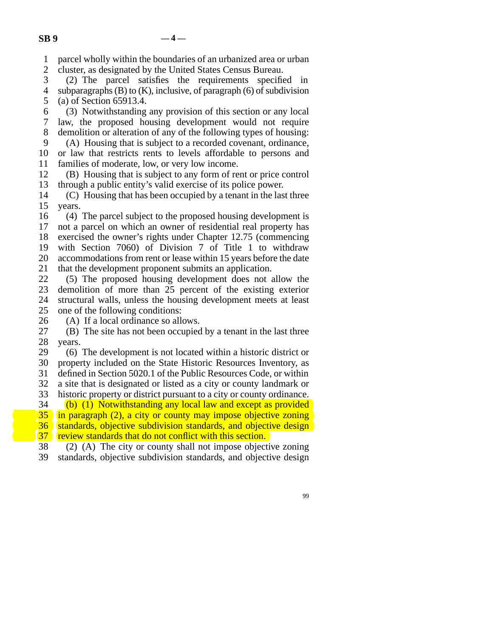line 1 parcel wholly within the boundaries of an urbanized area or urban

2 cluster, as designated by the United States Census Bureau.

3 (2) The parcel satisfies the requirements specified in 4 subparagraphs (B) to  $(K)$ , inclusive, of paragraph (6) of subdivision 5 (a) of Section 65913.4.

 line 6 (3) Notwithstanding any provision of this section or any local line 7 law, the proposed housing development would not require 8 demolition or alteration of any of the following types of housing: 9 (A) Housing that is subject to a recorded covenant, ordinance, 10 or law that restricts rents to levels affordable to persons and

11 families of moderate, low, or very low income.

12 (B) Housing that is subject to any form of rent or price control 13 through a public entity's valid exercise of its police power.

 $14$  (C) Housing that has been occupied by a tenant in the last three 15 years.

16 (4) The parcel subject to the proposed housing development is 17 not a parcel on which an owner of residential real property has 18 exercised the owner's rights under Chapter 12.75 (commencing 19 with Section 7060) of Division 7 of Title 1 to withdraw 20 accommodations from rent or lease within 15 years before the date 21 that the development proponent submits an application.

22 (5) The proposed housing development does not allow the<br>23 demolition of more than 25 percent of the existing exterior demolition of more than 25 percent of the existing exterior 24 structural walls, unless the housing development meets at least 25 one of the following conditions: one of the following conditions:

26 (A) If a local ordinance so allows.<br>27 (B) The site has not been occupied (B) The site has not been occupied by a tenant in the last three 28 years.

29 (6) The development is not located within a historic district or 30 property included on the State Historic Resources Inventory, as 31 defined in Section 5020.1 of the Public Resources Code, or within 32 a site that is designated or listed as a city or county landmark or 33 historic property or district pursuant to a city or county ordinance.

 $\delta$  34 (b) (1) Notwithstanding any local law and except as provided  $\overline{35}$  in paragraph (2), a city or county may impose objective zoning 36 standards, objective subdivision standards, and objective design  $\begin{bmatrix} 37 \\ 38 \end{bmatrix}$  (2) (A) The city or county shall not impose objection.

38 (2) (A) The city or county shall not impose objective zoning<br>39 standards, objective subdivision standards, and objective design standards, objective subdivision standards, and objective design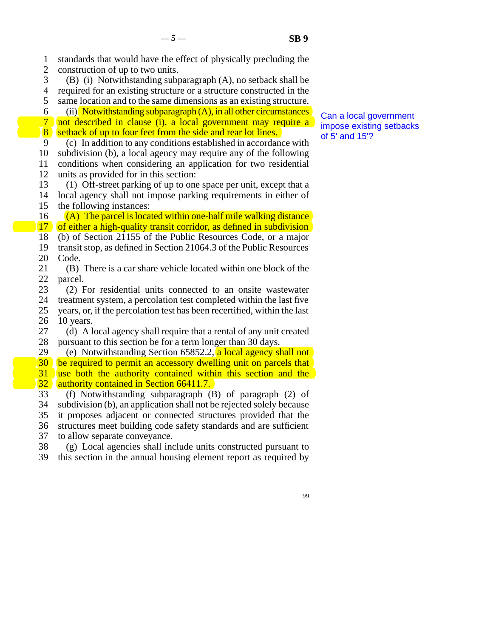1 standards that would have the effect of physically precluding the 2 construction of up to two units. 3 (B) (i) Notwithstanding subparagraph  $(A)$ , no setback shall be 4 required for an existing structure or a structure constructed in the 5 same location and to the same dimensions as an existing structure. 6 (ii) Notwithstanding subparagraph  $(A)$ , in all other circumstances 7 not described in clause (i), a local government may require a  $\sqrt{8}$  setback of up to four feet from the side and rear lot lines. line 9 (c) In addition to any conditions established in accordance with 10 subdivision (b), a local agency may require any of the following 11 conditions when considering an application for two residential 12 units as provided for in this section: 13 (1) Off-street parking of up to one space per unit, except that a 14 local agency shall not impose parking requirements in either of 15 the following instances: 16  $(A)$  The parcel is located within one-half mile walking distance  $\overline{17}$  of either a high-quality transit corridor, as defined in subdivision 18 (b) of Section 21155 of the Public Resources Code, or a major 19 transit stop, as defined in Section 21064.3 of the Public Resources 20 Code. 21 (B) There is a car share vehicle located within one block of the 22 parcel. 23 (2) For residential units connected to an onsite wastewater 24 treatment system, a percolation test completed within the last five<br>25 years, or, if the percolation test has been recertified, within the last line 25 years, or, if the percolation test has been recertified, within the last  $26$  10 years. 27 (d) A local agency shall require that a rental of any unit created 28 pursuant to this section be for a term longer than 30 days. 29 (e) Notwithstanding Section 65852.2, a local agency shall not 30 be required to permit an accessory dwelling unit on parcels that 31 use both the authority contained within this section and the  $\frac{1}{32}$  authority contained in Section 66411.7.<br>33 (f) Notwithstanding subparagraph (1 (f) Notwithstanding subparagraph  $(B)$  of paragraph  $(2)$  of 34 subdivision (b), an application shall not be rejected solely because 35 it proposes adjacent or connected structures provided that the 36 structures meet building code safety standards and are sufficient 37 to allow separate conveyance. line 38 (g) Local agencies shall include units constructed pursuant to 39 this section in the annual housing element report as required by Can a local government impose existing setbacks of 5' and 15'?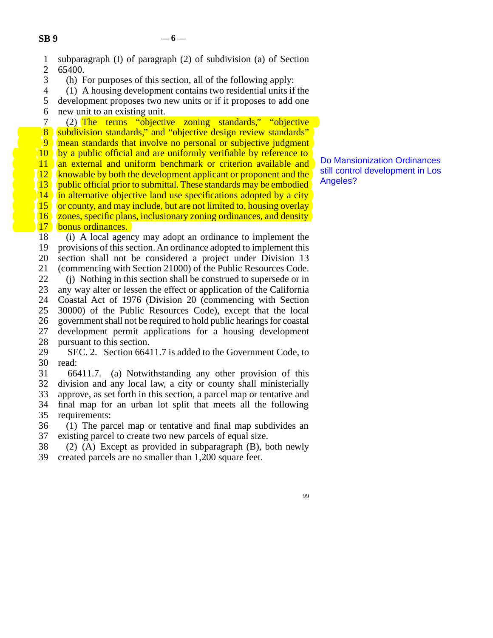| subparagraph (I) of paragraph (2) of subdivision (a) of Section |  |  |                                                                    |  |  |
|-----------------------------------------------------------------|--|--|--------------------------------------------------------------------|--|--|
| 2 65400.                                                        |  |  |                                                                    |  |  |
|                                                                 |  |  | $\mathbf{11}$ $\mathbf{0}$ $\mathbf{1}$ $\mathbf{0}$ $\mathbf{11}$ |  |  |

3 (h) For purposes of this section, all of the following apply:

 line 4 (1) A housing development contains two residential units if the 5 development proposes two new units or if it proposes to add one

6 new unit to an existing unit.

7 (2) The terms "objective zoning standards," "objective 8 subdivision standards," and "objective design review standards" **9** mean standards that involve no personal or subjective judgment 10 by a public official and are uniformly verifiable by reference to 11 an external and uniform benchmark or criterion available and  $\frac{12}{12}$  knowable by both the development applicant or proponent and the knowable by both the development applicant or proponent and the 13 public official prior to submittal. These standards may be embodied 14 in alternative objective land use specifications adopted by a city 15 or county, and may include, but are not limited to, housing overlay 16 zones, specific plans, inclusionary zoning ordinances, and density 17 bonus ordinances. bonus ordinances.

18 (i) A local agency may adopt an ordinance to implement the 19 provisions of this section. An ordinance adopted to implement this 20 section shall not be considered a project under Division 13 21 (commencing with Section 21000) of the Public Resources Code. 22 (j) Nothing in this section shall be construed to supersede or in<br>23 any way alter or lessen the effect or application of the California any way alter or lessen the effect or application of the California 24 Coastal Act of 1976 (Division 20 (commencing with Section 25 30000) of the Public Resources Code), except that the local 30000) of the Public Resources Code), except that the local 26 government shall not be required to hold public hearings for coastal 27 development permit applications for a housing development 28 pursuant to this section.

29 SEC. 2. Section 66411.7 is added to the Government Code, to 30 read:

31 66411.7. (a) Notwithstanding any other provision of this 32 division and any local law, a city or county shall ministerially 33 approve, as set forth in this section, a parcel map or tentative and 34 final map for an urban lot split that meets all the following 35 requirements:

36 (1) The parcel map or tentative and final map subdivides an 37 existing parcel to create two new parcels of equal size.

38 (2) (A) Except as provided in subparagraph (B), both newly 39 created parcels are no smaller than 1,200 square feet.

Do Mansionization Ordinances still control development in Los Angeles?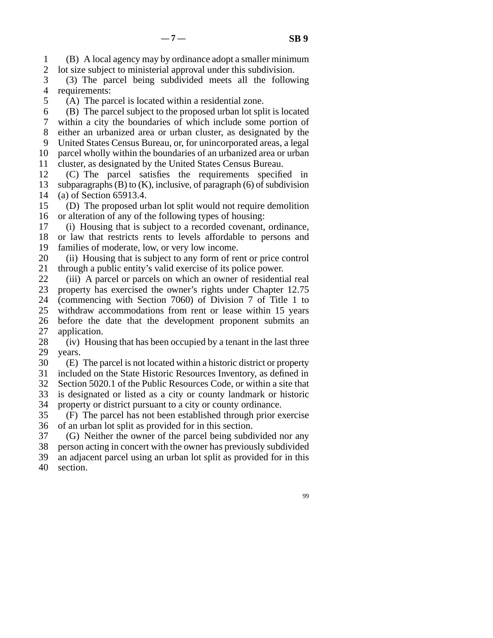line 1 (B) A local agency may by ordinance adopt a smaller minimum 2 lot size subject to ministerial approval under this subdivision.

3 (3) The parcel being subdivided meets all the following 4 requirements:

5 (A) The parcel is located within a residential zone.

 $\delta$  (B) The parcel subject to the proposed urban lot split is located

7 within a city the boundaries of which include some portion of 8 either an urbanized area or urban cluster, as designated by the

9 United States Census Bureau, or, for unincorporated areas, a legal

10 parcel wholly within the boundaries of an urbanized area or urban 11 cluster, as designated by the United States Census Bureau.

12 (C) The parcel satisfies the requirements specified in 13 subparagraphs (B) to (K), inclusive, of paragraph (6) of subdivision 14 (a) of Section 65913.4.

15 (D) The proposed urban lot split would not require demolition 16 or alteration of any of the following types of housing:

17 (i) Housing that is subject to a recorded covenant, ordinance, 18 or law that restricts rents to levels affordable to persons and

19 families of moderate, low, or very low income.

20 (ii) Housing that is subject to any form of rent or price control 21 through a public entity's valid exercise of its police power.

22 (iii) A parcel or parcels on which an owner of residential real<br>23 property has exercised the owner's rights under Chapter 12.75 property has exercised the owner's rights under Chapter 12.75 24 (commencing with Section 7060) of Division 7 of Title 1 to<br>25 withdraw accommodations from rent or lease within 15 years withdraw accommodations from rent or lease within 15 years 26 before the date that the development proponent submits an 27 application.

28 (iv) Housing that has been occupied by a tenant in the last three 29 years.

30 (E) The parcel is not located within a historic district or property

31 included on the State Historic Resources Inventory, as defined in

32 Section 5020.1 of the Public Resources Code, or within a site that

33 is designated or listed as a city or county landmark or historic

34 property or district pursuant to a city or county ordinance.

 line 35 (F) The parcel has not been established through prior exercise 36 of an urban lot split as provided for in this section.

37 (G) Neither the owner of the parcel being subdivided nor any

38 person acting in concert with the owner has previously subdivided 39 an adjacent parcel using an urban lot split as provided for in this

40 section.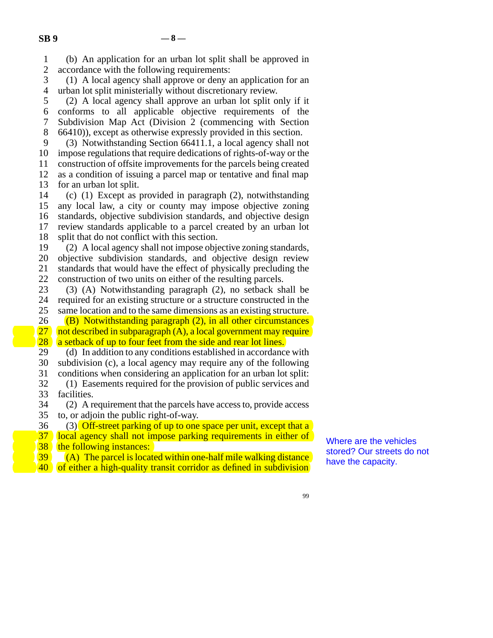line 1 (b) An application for an urban lot split shall be approved in 2 accordance with the following requirements:<br>3 (1) A local agency shall approve or deny a

 $\lambda$  (1) A local agency shall approve or deny an application for an 4 urban lot split ministerially without discretionary review.

5 (2) A local agency shall approve an urban lot split only if it line 6 conforms to all applicable objective requirements of the 7 Subdivision Map Act (Division 2 (commencing with Section 8 66410)), except as otherwise expressly provided in this section.

9 (3) Notwithstanding Section 66411.1, a local agency shall not 10 impose regulations that require dedications of rights-of-way or the 11 construction of offsite improvements for the parcels being created 12 as a condition of issuing a parcel map or tentative and final map 13 for an urban lot split.

14 (c) (1) Except as provided in paragraph (2), notwithstanding 15 any local law, a city or county may impose objective zoning 16 standards, objective subdivision standards, and objective design 17 review standards applicable to a parcel created by an urban lot 18 split that do not conflict with this section.

19 (2) A local agency shall not impose objective zoning standards, 20 objective subdivision standards, and objective design review 21 standards that would have the effect of physically precluding the 22 construction of two units on either of the resulting parcels.<br>23 (3) (A) Notwithstanding paragraph  $(2)$ , no setback sh

 $\lambda$  (3) (A) Notwithstanding paragraph (2), no setback shall be 24 required for an existing structure or a structure constructed in the 25 same location and to the same dimensions as an existing structure. same location and to the same dimensions as an existing structure.

26 (B) Notwithstanding paragraph  $(2)$ , in all other circumstances<br>27 not described in subparagraph  $(A)$ , a local government may require 27 not described in subparagraph  $(A)$ , a local government may require<br>28 a setback of up to four feet from the side and rear lot lines.  $\begin{bmatrix} 28 \\ 29 \end{bmatrix}$  a setback of up to four feet from the side and rear lot lines.<br>29 (d) In addition to any conditions established in accordance

(d) In addition to any conditions established in accordance with 30 subdivision (c), a local agency may require any of the following 31 conditions when considering an application for an urban lot split:

32 (1) Easements required for the provision of public services and facilities. facilities.

34 (2) A requirement that the parcels have access to, provide access 35 to, or adjoin the public right-of-way.

36 (3) Off-street parking of up to one space per unit, except that a 37 local agency shall not impose parking requirements in either of  $\begin{array}{c|c} \n\text{38} & \text{the following instances:} \\
\hline\n\text{39} & \text{(A)} & \text{The parcel is locat} \\
\end{array}$ 

 $\begin{bmatrix} 39 \\ 40 \end{bmatrix}$  (A) The parcel is located within one-half mile walking distance<br>40 of either a high-quality transit corridor as defined in subdivision of either a high-quality transit corridor as defined in subdivision Where are the vehicles stored? Our streets do not have the capacity.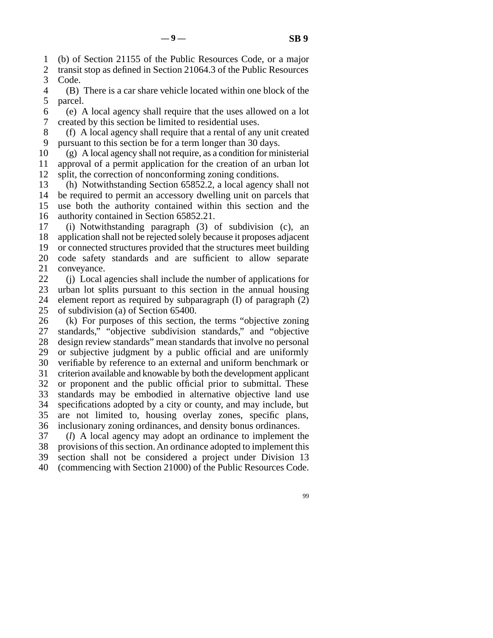line 1 (b) of Section 21155 of the Public Resources Code, or a major

2 transit stop as defined in Section 21064.3 of the Public Resources<br>3 Code. Code.

 line 4 (B) There is a car share vehicle located within one block of the 5 parcel.

 line 6 (e) A local agency shall require that the uses allowed on a lot 7 created by this section be limited to residential uses.

8 (f) A local agency shall require that a rental of any unit created 9 pursuant to this section be for a term longer than 30 days.

 $10$  (g) A local agency shall not require, as a condition for ministerial 11 approval of a permit application for the creation of an urban lot 12 split, the correction of nonconforming zoning conditions.

13 (h) Notwithstanding Section 65852.2, a local agency shall not 14 be required to permit an accessory dwelling unit on parcels that 15 use both the authority contained within this section and the 16 authority contained in Section 65852.21.

17 (i) Notwithstanding paragraph (3) of subdivision (c), an 18 application shall not be rejected solely because it proposes adjacent 19 or connected structures provided that the structures meet building 20 code safety standards and are sufficient to allow separate 21 conveyance.

22 (j) Local agencies shall include the number of applications for<br>23 urban lot splits pursuant to this section in the annual housing urban lot splits pursuant to this section in the annual housing 24 element report as required by subparagraph (I) of paragraph (2)  $25$  of subdivision (a) of Section 65400. of subdivision (a) of Section 65400.

 $26$  (k) For purposes of this section, the terms "objective zoning 27 standards," "objective subdivision standards," and "objective 28 design review standards" mean standards that involve no personal 29 or subjective judgment by a public official and are uniformly 30 verifiable by reference to an external and uniform benchmark or 31 criterion available and knowable by both the development applicant 32 or proponent and the public official prior to submittal. These 33 standards may be embodied in alternative objective land use 34 specifications adopted by a city or county, and may include, but 35 are not limited to, housing overlay zones, specific plans, 36 inclusionary zoning ordinances, and density bonus ordinances.

37 (*l*) A local agency may adopt an ordinance to implement the 38 provisions of this section. An ordinance adopted to implement this 39 section shall not be considered a project under Division 13 40 (commencing with Section 21000) of the Public Resources Code.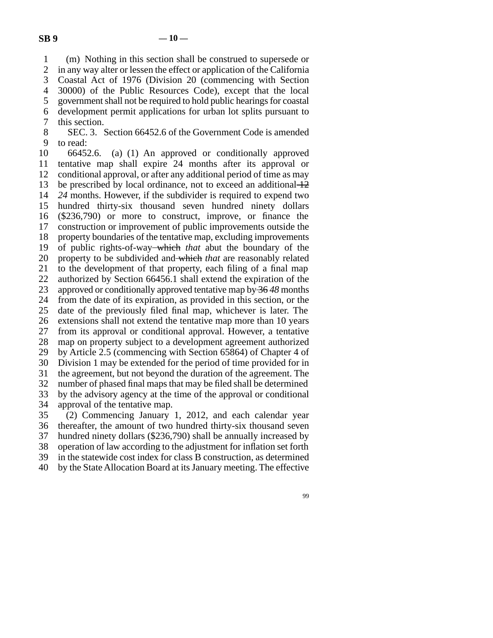line 1 (m) Nothing in this section shall be construed to supersede or 2 in any way alter or lessen the effect or application of the California<br>3 Coastal Act of 1976 (Division 20 (commencing with Section Coastal Act of 1976 (Division 20 (commencing with Section line 4 30000) of the Public Resources Code), except that the local 5 government shall not be required to hold public hearings for coastal line 6 development permit applications for urban lot splits pursuant to 7 this section.

8 SEC. 3. Section 66452.6 of the Government Code is amended 9 to read:

10 66452.6. (a) (1) An approved or conditionally approved 11 tentative map shall expire 24 months after its approval or 12 conditional approval, or after any additional period of time as may 13 be prescribed by local ordinance, not to exceed an additional  $\pm 2$ 14 24 months. However, if the subdivider is required to expend two 15 hundred thirty-six thousand seven hundred ninety dollars 16 (\$236,790) or more to construct, improve, or finance the 17 construction or improvement of public improvements outside the 18 property boundaries of the tentative map, excluding improvements 19 of public rights-of-way which *that* abut the boundary of the 20 property to be subdivided and which *that* are reasonably related 21 to the development of that property, each filing of a final map 22 authorized by Section 66456.1 shall extend the expiration of the 23 approved or conditionally approved tentative map by 36*48* months 24 from the date of its expiration, as provided in this section, or the 25 date of the previously filed final map, whichever is later. The date of the previously filed final map, whichever is later. The 26 extensions shall not extend the tentative map more than 10 years 27 from its approval or conditional approval. However, a tentative 28 map on property subject to a development agreement authorized 29 by Article 2.5 (commencing with Section 65864) of Chapter 4 of 30 Division 1 may be extended for the period of time provided for in 31 the agreement, but not beyond the duration of the agreement. The 32 number of phased final maps that may be filed shall be determined 33 by the advisory agency at the time of the approval or conditional 34 approval of the tentative map. 35 (2) Commencing January 1, 2012, and each calendar year

36 thereafter, the amount of two hundred thirty-six thousand seven 37 hundred ninety dollars (\$236,790) shall be annually increased by 38 operation of law according to the adjustment for inflation set forth 39 in the statewide cost index for class B construction, as determined line 40 by the State Allocation Board at its January meeting. The effective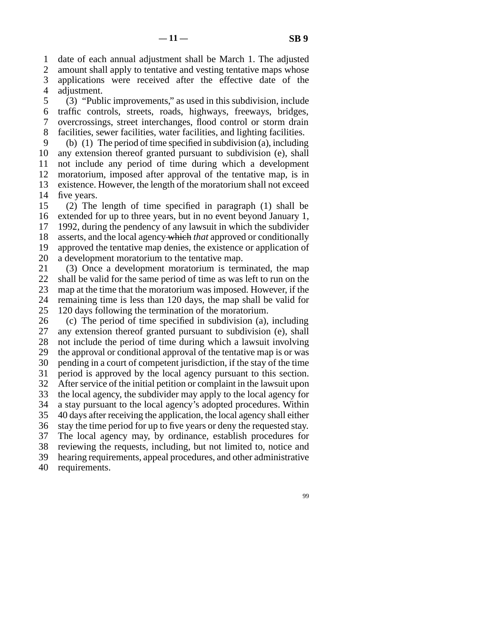line 1 date of each annual adjustment shall be March 1. The adjusted

2 amount shall apply to tentative and vesting tentative maps whose<br>3 applications were received after the effective date of the applications were received after the effective date of the 4 adjustment.

5 (3) "Public improvements," as used in this subdivision, include line 6 traffic controls, streets, roads, highways, freeways, bridges, line 7 overcrossings, street interchanges, flood control or storm drain 8 facilities, sewer facilities, water facilities, and lighting facilities.

9 (b) (1) The period of time specified in subdivision (a), including 10 any extension thereof granted pursuant to subdivision (e), shall 11 not include any period of time during which a development 12 moratorium, imposed after approval of the tentative map, is in 13 existence. However, the length of the moratorium shall not exceed 14 five years.

15 (2) The length of time specified in paragraph  $(1)$  shall be 16 extended for up to three years, but in no event beyond January 1,  $17$  1992, during the pendency of any lawsuit in which the subdivider 18 asserts, and the local agency which *that* approved or conditionally 19 approved the tentative map denies, the existence or application of 20 a development moratorium to the tentative map.

21 (3) Once a development moratorium is terminated, the map 22 shall be valid for the same period of time as was left to run on the 23 map at the time that the moratorium was imposed. However, if the 24 remaining time is less than 120 days, the map shall be valid for 25 120 days following the termination of the moratorium. 120 days following the termination of the moratorium.

26 (c) The period of time specified in subdivision (a), including 27 any extension thereof granted pursuant to subdivision (e), shall any extension thereof granted pursuant to subdivision (e), shall 28 not include the period of time during which a lawsuit involving 29 the approval or conditional approval of the tentative map is or was 30 pending in a court of competent jurisdiction, if the stay of the time 31 period is approved by the local agency pursuant to this section. 32 After service of the initial petition or complaint in the lawsuit upon 33 the local agency, the subdivider may apply to the local agency for 34 a stay pursuant to the local agency's adopted procedures. Within 35 40 days after receiving the application, the local agency shall either 36 stay the time period for up to five years or deny the requested stay. 37 The local agency may, by ordinance, establish procedures for 38 reviewing the requests, including, but not limited to, notice and 39 hearing requirements, appeal procedures, and other administrative 40 requirements.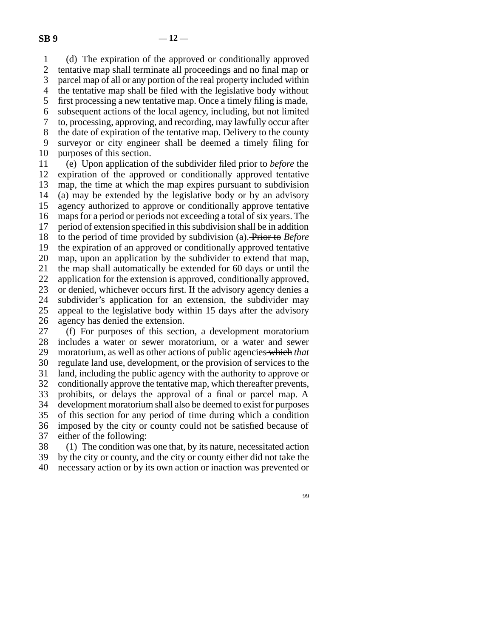line 1 (d) The expiration of the approved or conditionally approved 2 tentative map shall terminate all proceedings and no final map or 3 parcel map of all or any portion of the real property included within parcel map of all or any portion of the real property included within 4 the tentative map shall be filed with the legislative body without 5 first processing a new tentative map. Once a timely filing is made, line 6 subsequent actions of the local agency, including, but not limited line 7 to, processing, approving, and recording, may lawfully occur after 8 the date of expiration of the tentative map. Delivery to the county 9 surveyor or city engineer shall be deemed a timely filing for 10 purposes of this section. line 11 (e) Upon application of the subdivider filed prior to *before* the

12 expiration of the approved or conditionally approved tentative 13 map, the time at which the map expires pursuant to subdivision 14 (a) may be extended by the legislative body or by an advisory 15 agency authorized to approve or conditionally approve tentative 16 maps for a period or periods not exceeding a total of six years. The 17 period of extension specified in this subdivision shall be in addition 18 to the period of time provided by subdivision (a). Prior to *Before* 19 the expiration of an approved or conditionally approved tentative 20 map, upon an application by the subdivider to extend that map, 21 the map shall automatically be extended for 60 days or until the 22 application for the extension is approved, conditionally approved, 23 or denied, whichever occurs first. If the advisory agency denies a 24 subdivider's application for an extension, the subdivider may<br>25 appeal to the legislative body within 15 days after the advisory appeal to the legislative body within 15 days after the advisory 26 agency has denied the extension.

27 (f) For purposes of this section, a development moratorium 28 includes a water or sewer moratorium, or a water and sewer 29 moratorium, as well as other actions of public agencies which *that* 30 regulate land use, development, or the provision of services to the 31 land, including the public agency with the authority to approve or 32 conditionally approve the tentative map, which thereafter prevents, 33 prohibits, or delays the approval of a final or parcel map. A 34 development moratorium shall also be deemed to exist for purposes 35 of this section for any period of time during which a condition 36 imposed by the city or county could not be satisfied because of 37 either of the following:

38 (1) The condition was one that, by its nature, necessitated action line 39 by the city or county, and the city or county either did not take the 40 necessary action or by its own action or inaction was prevented or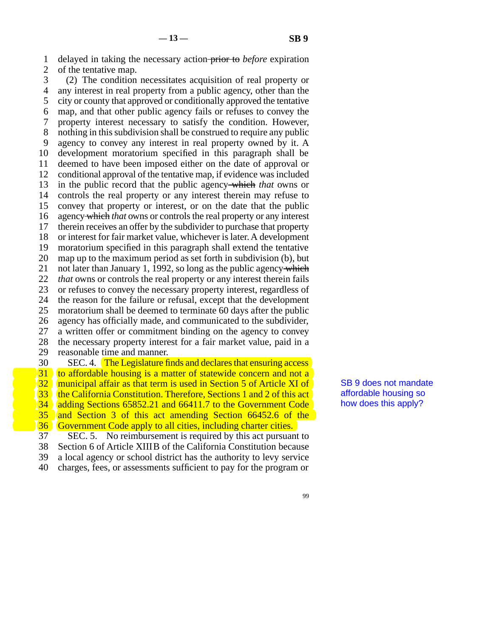line 1 delayed in taking the necessary action prior to *before* expiration 2 of the tentative map.

3 (2) The condition necessitates acquisition of real property or 4 any interest in real property from a public agency, other than the 5 city or county that approved or conditionally approved the tentative line 6 map, and that other public agency fails or refuses to convey the 7 property interest necessary to satisfy the condition. However, 8 nothing in this subdivision shall be construed to require any public 9 agency to convey any interest in real property owned by it. A 10 development moratorium specified in this paragraph shall be 11 deemed to have been imposed either on the date of approval or 12 conditional approval of the tentative map, if evidence was included 13 in the public record that the public agency which *that* owns or 14 controls the real property or any interest therein may refuse to controls the real property or any interest therein may refuse to 15 convey that property or interest, or on the date that the public 16 agency which *that* owns or controls the real property or any interest 17 therein receives an offer by the subdivider to purchase that property 18 or interest for fair market value, whichever is later. A development 19 moratorium specified in this paragraph shall extend the tentative 20 map up to the maximum period as set forth in subdivision (b), but 21 not later than January 1, 1992, so long as the public agency which 22 *that* owns or controls the real property or any interest therein fails 23 or refuses to convey the necessary property interest, regardless of 24 the reason for the failure or refusal, except that the development<br>25 moratorium shall be deemed to terminate 60 days after the public moratorium shall be deemed to terminate 60 days after the public 26 agency has officially made, and communicated to the subdivider, 27 a written offer or commitment binding on the agency to convey 28 the necessary property interest for a fair market value, paid in a 29 reasonable time and manner. 30 SEC. 4. The Legislature finds and declares that ensuring access 31 to affordable housing is a matter of statewide concern and not a  $\begin{pmatrix} 32 \\ 33 \end{pmatrix}$  (municipal affair as that term is used in Section 5 of Article XI of  $\begin{pmatrix} 33 \\ 34 \end{pmatrix}$  (the California Constitution. Therefore, Sections 1 and 2 of this act 33 the California Constitution. Therefore, Sections 1 and 2 of this act<br>34 adding Sections 65852.21 and 66411.7 to the Government Code adding Sections 65852.21 and 66411.7 to the Government Code

35 and Section 3 of this act amending Section  $66452.6$  of the  $\overline{36}$  Government Code apply to all cities, including charter cities.

36 Government Code apply to all cities, including charter cities.<br>37 SEC, 5. No reimbursement is required by this act pursuan

SEC. 5. No reimbursement is required by this act pursuant to

18 Section 6 of Article XIIIB of the California Constitution because<br>
39 a local agency or school district has the authority to levy service a local agency or school district has the authority to levy service

40 charges, fees, or assessments sufficient to pay for the program or

SB 9 does not mandate affordable housing so how does this apply?